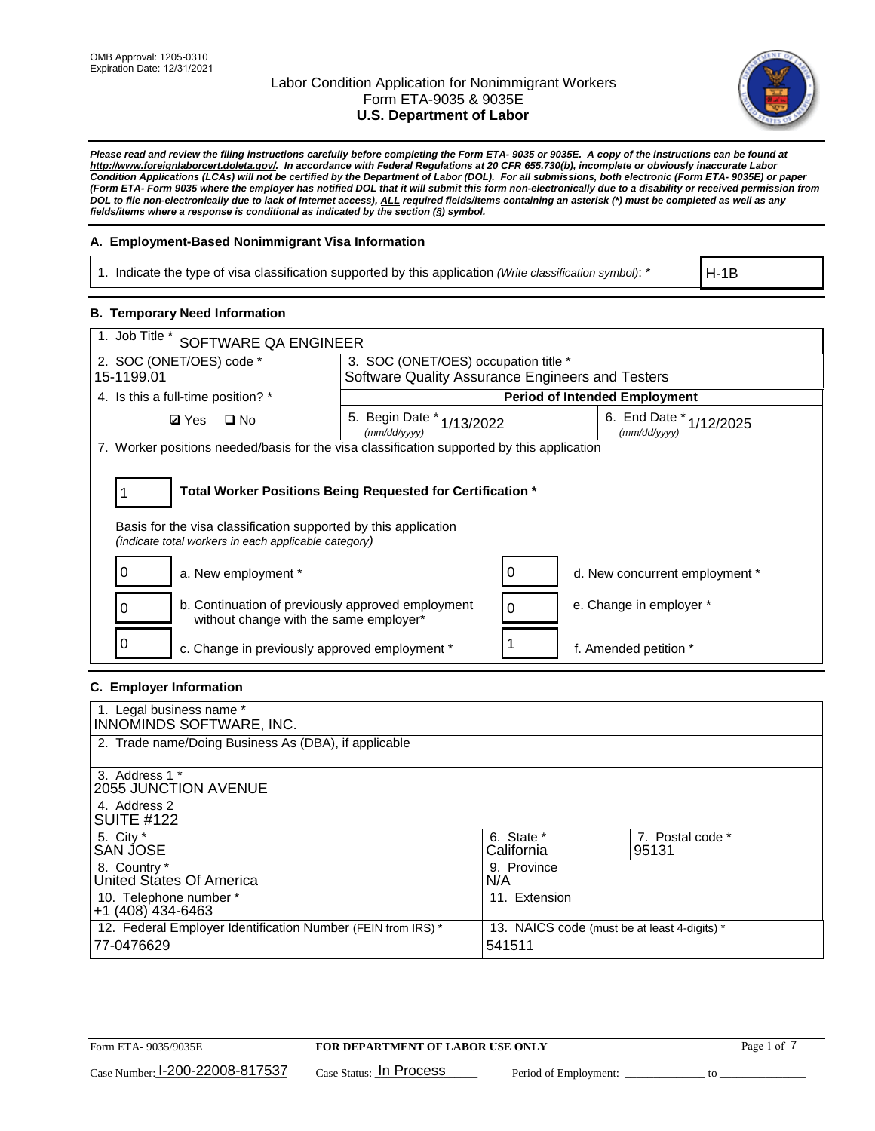

*Please read and review the filing instructions carefully before completing the Form ETA- 9035 or 9035E. A copy of the instructions can be found at [http://www.foreignlaborcert.doleta.gov/.](http://www.foreignlaborcert.doleta.gov/) In accordance with Federal Regulations at 20 CFR 655.730(b), incomplete or obviously inaccurate Labor Condition Applications (LCAs) will not be certified by the Department of Labor (DOL). For all submissions, both electronic (Form ETA- 9035E) or paper (Form ETA- Form 9035 where the employer has notified DOL that it will submit this form non-electronically due to a disability or received permission from DOL to file non-electronically due to lack of Internet access), ALL required fields/items containing an asterisk (\*) must be completed as well as any fields/items where a response is conditional as indicated by the section (§) symbol.* 

## **A. Employment-Based Nonimmigrant Visa Information**

1. Indicate the type of visa classification supported by this application *(Write classification symbol)*: \*

H-1B

## **B. Temporary Need Information**

| 1. Job Title *<br>SOFTWARE QA ENGINEER                                                                                                                                                |                                                  |  |                                             |  |  |  |
|---------------------------------------------------------------------------------------------------------------------------------------------------------------------------------------|--------------------------------------------------|--|---------------------------------------------|--|--|--|
| 2. SOC (ONET/OES) code *                                                                                                                                                              | 3. SOC (ONET/OES) occupation title *             |  |                                             |  |  |  |
| 15-1199.01                                                                                                                                                                            | Software Quality Assurance Engineers and Testers |  |                                             |  |  |  |
| 4. Is this a full-time position? *                                                                                                                                                    |                                                  |  | <b>Period of Intended Employment</b>        |  |  |  |
| <b>Ø</b> Yes<br>$\Box$ No                                                                                                                                                             | 5. Begin Date $*_{1/13/2022}$<br>(mm/dd/yyyy)    |  | 6. End Date $*_{1/12/2025}$<br>(mm/dd/yyyy) |  |  |  |
| 7. Worker positions needed/basis for the visa classification supported by this application                                                                                            |                                                  |  |                                             |  |  |  |
| Total Worker Positions Being Requested for Certification *<br>Basis for the visa classification supported by this application<br>(indicate total workers in each applicable category) |                                                  |  |                                             |  |  |  |
| a. New employment *                                                                                                                                                                   |                                                  |  | d. New concurrent employment *              |  |  |  |
| b. Continuation of previously approved employment<br>without change with the same employer*                                                                                           |                                                  |  | e. Change in employer *                     |  |  |  |
| c. Change in previously approved employment *                                                                                                                                         |                                                  |  | f. Amended petition *                       |  |  |  |

## **C. Employer Information**

| 1. Legal business name *                                     |                                              |                  |
|--------------------------------------------------------------|----------------------------------------------|------------------|
| INNOMINDS SOFTWARE, INC.                                     |                                              |                  |
| 2. Trade name/Doing Business As (DBA), if applicable         |                                              |                  |
|                                                              |                                              |                  |
| 3. Address 1 *                                               |                                              |                  |
| <b>2055 JUNCTION AVENUE</b>                                  |                                              |                  |
| 4. Address 2                                                 |                                              |                  |
| <b>SUITE #122</b>                                            |                                              |                  |
| 5. City *                                                    | 6. State *                                   | 7. Postal code * |
| <b>SAN JOSE</b>                                              | California                                   | 95131            |
| 8. Country *                                                 | 9. Province                                  |                  |
| United States Of America                                     | N/A                                          |                  |
| 10. Telephone number *                                       | 11. Extension                                |                  |
| $+1$ (408) 434-6463                                          |                                              |                  |
| 12. Federal Employer Identification Number (FEIN from IRS) * | 13. NAICS code (must be at least 4-digits) * |                  |
| 77-0476629                                                   | 541511                                       |                  |
|                                                              |                                              |                  |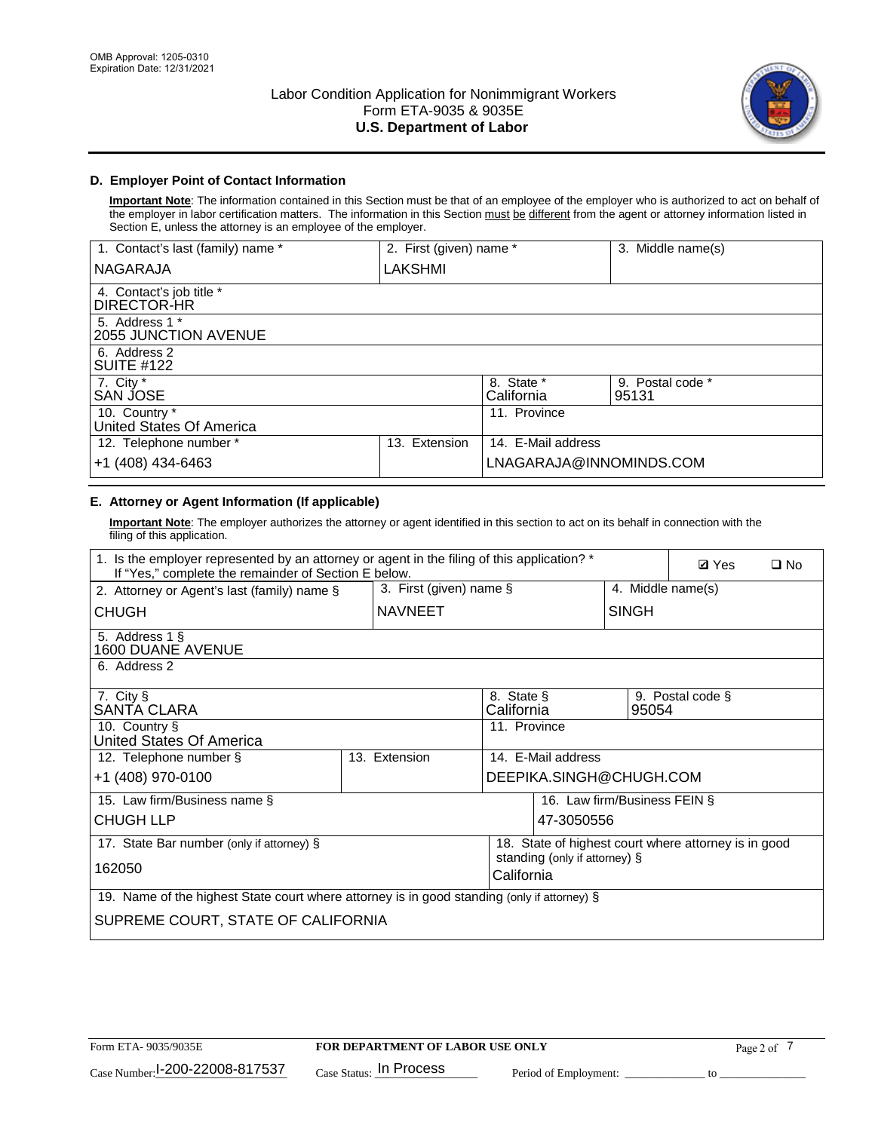

# **D. Employer Point of Contact Information**

**Important Note**: The information contained in this Section must be that of an employee of the employer who is authorized to act on behalf of the employer in labor certification matters. The information in this Section must be different from the agent or attorney information listed in Section E, unless the attorney is an employee of the employer.

| 1. Contact's last (family) name *         | 2. First (given) name * |                          | 3. Middle name(s)         |
|-------------------------------------------|-------------------------|--------------------------|---------------------------|
| <b>NAGARAJA</b>                           | LAKSHMI                 |                          |                           |
| 4. Contact's job title *<br>DIRECTOR-HR   |                         |                          |                           |
| 5. Address 1 *<br>2055 JUNCTION AVENUE    |                         |                          |                           |
| 6. Address 2<br><b>SUITE #122</b>         |                         |                          |                           |
| 7. City *<br>SAN JOSE                     |                         | 8. State *<br>California | 9. Postal code *<br>95131 |
| 10. Country *<br>United States Of America |                         | 11. Province             |                           |
| 12. Telephone number *                    | Extension<br>13.        | 14. E-Mail address       |                           |
| +1 (408) 434-6463                         |                         | LNAGARAJA@INNOMINDS.COM  |                           |

# **E. Attorney or Agent Information (If applicable)**

**Important Note**: The employer authorizes the attorney or agent identified in this section to act on its behalf in connection with the filing of this application.

| 1. Is the employer represented by an attorney or agent in the filing of this application? *<br>If "Yes," complete the remainder of Section E below. |                         |                          |                               |                   |                                                      | $\square$ No |
|-----------------------------------------------------------------------------------------------------------------------------------------------------|-------------------------|--------------------------|-------------------------------|-------------------|------------------------------------------------------|--------------|
| 2. Attorney or Agent's last (family) name §                                                                                                         | 3. First (given) name § |                          |                               | 4. Middle name(s) |                                                      |              |
| <b>CHUGH</b>                                                                                                                                        | <b>NAVNEET</b>          |                          |                               | <b>SINGH</b>      |                                                      |              |
| 5. Address 1 §<br>1600 DUANE AVENUE                                                                                                                 |                         |                          |                               |                   |                                                      |              |
| 6. Address 2                                                                                                                                        |                         |                          |                               |                   |                                                      |              |
| 7. City §<br>SANTA CLARA                                                                                                                            |                         | 8. State §<br>California |                               | 95054             | 9. Postal code §                                     |              |
| 10. Country §<br>United States Of America                                                                                                           |                         | 11. Province             |                               |                   |                                                      |              |
| 12. Telephone number §                                                                                                                              | 13. Extension           |                          | 14. E-Mail address            |                   |                                                      |              |
| +1 (408) 970-0100                                                                                                                                   |                         |                          | DEEPIKA.SINGH@CHUGH.COM       |                   |                                                      |              |
| 15. Law firm/Business name §                                                                                                                        |                         |                          | 16. Law firm/Business FEIN §  |                   |                                                      |              |
| <b>CHUGH LLP</b>                                                                                                                                    |                         |                          | 47-3050556                    |                   |                                                      |              |
| 17. State Bar number (only if attorney) §                                                                                                           |                         |                          |                               |                   | 18. State of highest court where attorney is in good |              |
| 162050                                                                                                                                              |                         | California               | standing (only if attorney) § |                   |                                                      |              |
| 19. Name of the highest State court where attorney is in good standing (only if attorney) §                                                         |                         |                          |                               |                   |                                                      |              |
| SUPREME COURT, STATE OF CALIFORNIA                                                                                                                  |                         |                          |                               |                   |                                                      |              |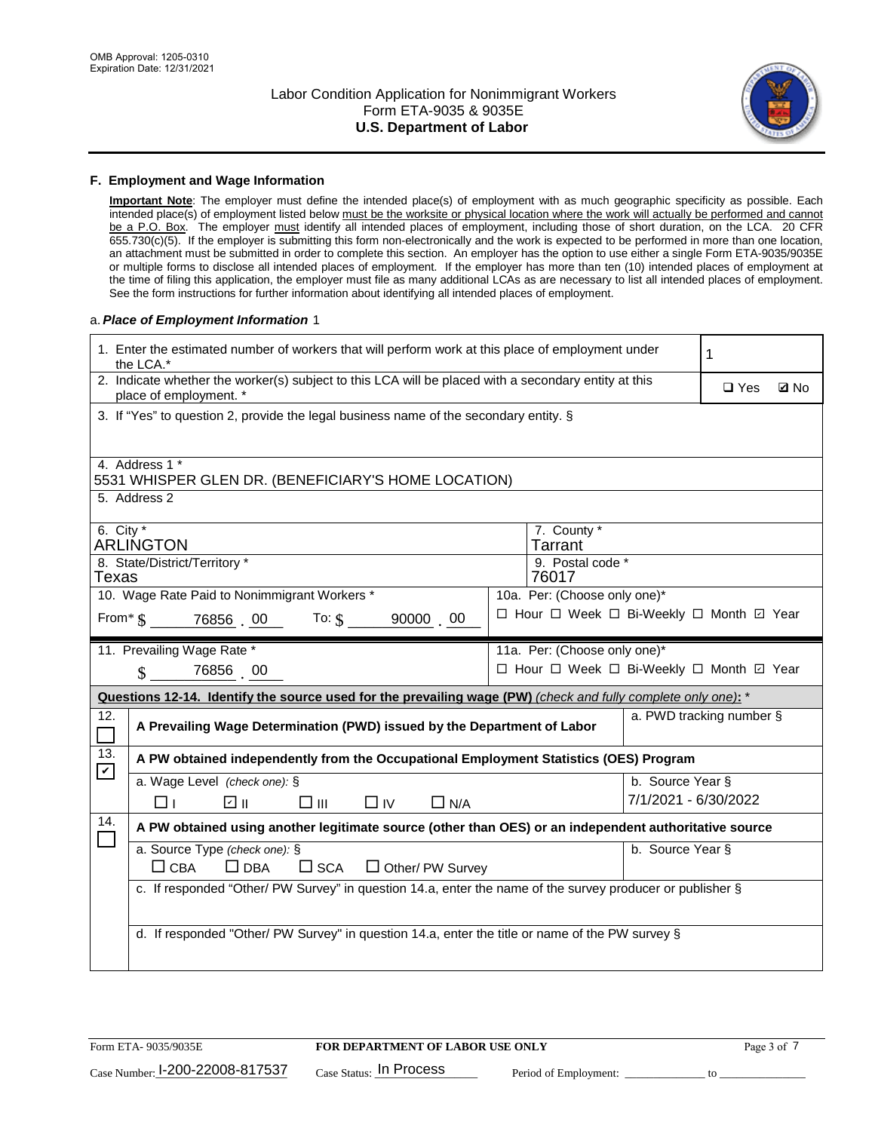

### **F. Employment and Wage Information**

**Important Note**: The employer must define the intended place(s) of employment with as much geographic specificity as possible. Each intended place(s) of employment listed below must be the worksite or physical location where the work will actually be performed and cannot be a P.O. Box. The employer must identify all intended places of employment, including those of short duration, on the LCA. 20 CFR 655.730(c)(5). If the employer is submitting this form non-electronically and the work is expected to be performed in more than one location, an attachment must be submitted in order to complete this section. An employer has the option to use either a single Form ETA-9035/9035E or multiple forms to disclose all intended places of employment. If the employer has more than ten (10) intended places of employment at the time of filing this application, the employer must file as many additional LCAs as are necessary to list all intended places of employment. See the form instructions for further information about identifying all intended places of employment.

### a.*Place of Employment Information* 1

|                                                                              | 1. Enter the estimated number of workers that will perform work at this place of employment under<br>the LCA.*                 |  |                                          |                          |            |             |  |
|------------------------------------------------------------------------------|--------------------------------------------------------------------------------------------------------------------------------|--|------------------------------------------|--------------------------|------------|-------------|--|
|                                                                              | 2. Indicate whether the worker(s) subject to this LCA will be placed with a secondary entity at this<br>place of employment. * |  |                                          |                          | $\Box$ Yes | <b>Z</b> No |  |
|                                                                              | 3. If "Yes" to question 2, provide the legal business name of the secondary entity. §                                          |  |                                          |                          |            |             |  |
|                                                                              | 4. Address 1 *<br>5531 WHISPER GLEN DR. (BENEFICIARY'S HOME LOCATION)                                                          |  |                                          |                          |            |             |  |
|                                                                              | 5. Address 2                                                                                                                   |  |                                          |                          |            |             |  |
|                                                                              | 6. City $*$<br>7. County *<br><b>ARLINGTON</b><br><b>Tarrant</b>                                                               |  |                                          |                          |            |             |  |
| 8. State/District/Territory *<br>9. Postal code *<br>76017<br>Texas          |                                                                                                                                |  |                                          |                          |            |             |  |
| 10. Wage Rate Paid to Nonimmigrant Workers *<br>10a. Per: (Choose only one)* |                                                                                                                                |  |                                          |                          |            |             |  |
|                                                                              | □ Hour □ Week □ Bi-Weekly □ Month ☑ Year<br>From * \$ 76856 00 To: \$ 90000 00                                                 |  |                                          |                          |            |             |  |
|                                                                              | 11. Prevailing Wage Rate *                                                                                                     |  | 11a. Per: (Choose only one)*             |                          |            |             |  |
|                                                                              | 76856 00<br>$\mathbf{\$}$                                                                                                      |  | □ Hour □ Week □ Bi-Weekly □ Month 回 Year |                          |            |             |  |
|                                                                              | Questions 12-14. Identify the source used for the prevailing wage (PW) (check and fully complete only one): *                  |  |                                          |                          |            |             |  |
| 12.<br>$\mathcal{L}_{\mathcal{A}}$                                           | A Prevailing Wage Determination (PWD) issued by the Department of Labor                                                        |  |                                          | a. PWD tracking number § |            |             |  |
| 13.<br>$\mathbf v$                                                           | A PW obtained independently from the Occupational Employment Statistics (OES) Program                                          |  |                                          |                          |            |             |  |
|                                                                              | a. Wage Level (check one): §                                                                                                   |  |                                          | b. Source Year §         |            |             |  |
|                                                                              | ☑ ॥<br>$\square$ $\square$<br>□⊥<br>$\Box$ IV<br>$\Box$ N/A                                                                    |  |                                          | 7/1/2021 - 6/30/2022     |            |             |  |
| 14.                                                                          | A PW obtained using another legitimate source (other than OES) or an independent authoritative source                          |  |                                          |                          |            |             |  |
|                                                                              | a. Source Type (check one): §<br>b. Source Year §<br>$\Box$ CBA<br>$\Box$ DBA<br>$\square$ SCA<br>$\Box$ Other/ PW Survey      |  |                                          |                          |            |             |  |
|                                                                              | c. If responded "Other/ PW Survey" in question 14.a, enter the name of the survey producer or publisher §                      |  |                                          |                          |            |             |  |
|                                                                              | d. If responded "Other/ PW Survey" in question 14.a, enter the title or name of the PW survey §                                |  |                                          |                          |            |             |  |
|                                                                              |                                                                                                                                |  |                                          |                          |            |             |  |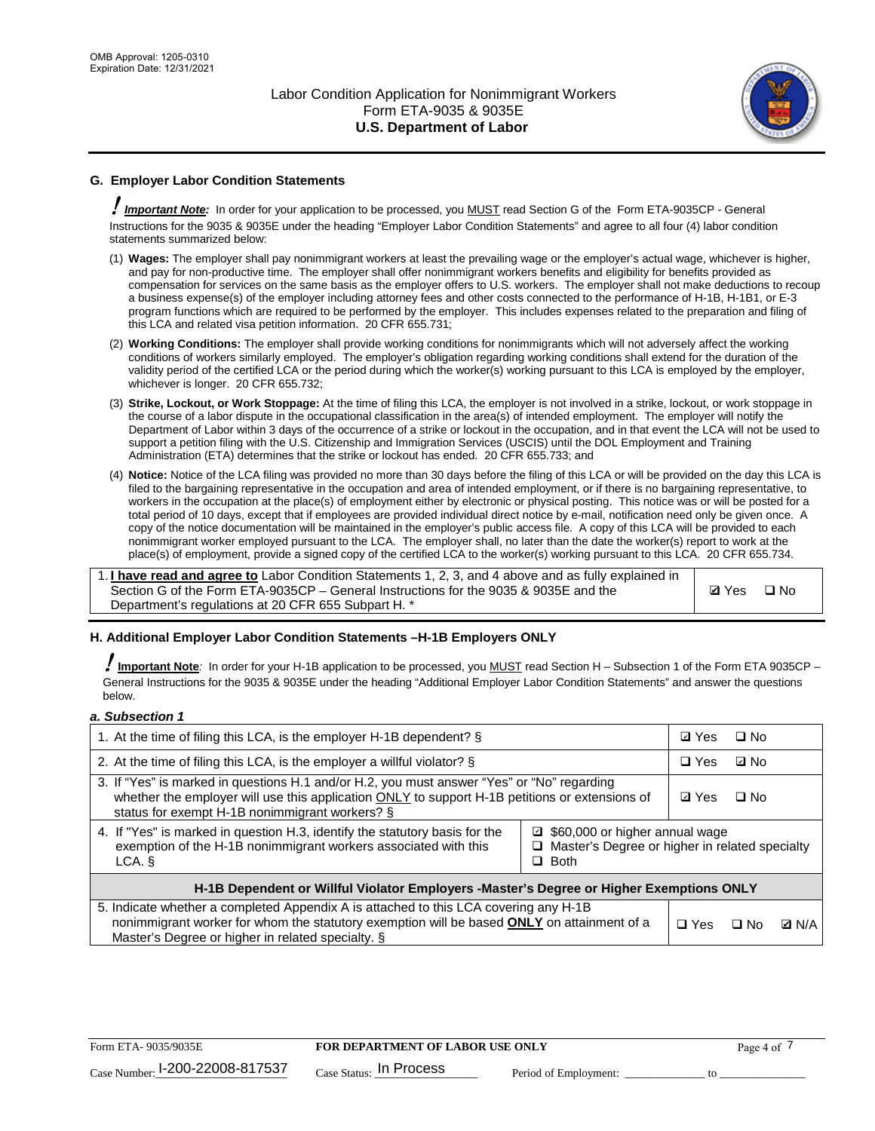

# **G. Employer Labor Condition Statements**

! *Important Note:* In order for your application to be processed, you MUST read Section G of the Form ETA-9035CP - General Instructions for the 9035 & 9035E under the heading "Employer Labor Condition Statements" and agree to all four (4) labor condition statements summarized below:

- (1) **Wages:** The employer shall pay nonimmigrant workers at least the prevailing wage or the employer's actual wage, whichever is higher, and pay for non-productive time. The employer shall offer nonimmigrant workers benefits and eligibility for benefits provided as compensation for services on the same basis as the employer offers to U.S. workers. The employer shall not make deductions to recoup a business expense(s) of the employer including attorney fees and other costs connected to the performance of H-1B, H-1B1, or E-3 program functions which are required to be performed by the employer. This includes expenses related to the preparation and filing of this LCA and related visa petition information. 20 CFR 655.731;
- (2) **Working Conditions:** The employer shall provide working conditions for nonimmigrants which will not adversely affect the working conditions of workers similarly employed. The employer's obligation regarding working conditions shall extend for the duration of the validity period of the certified LCA or the period during which the worker(s) working pursuant to this LCA is employed by the employer, whichever is longer. 20 CFR 655.732;
- (3) **Strike, Lockout, or Work Stoppage:** At the time of filing this LCA, the employer is not involved in a strike, lockout, or work stoppage in the course of a labor dispute in the occupational classification in the area(s) of intended employment. The employer will notify the Department of Labor within 3 days of the occurrence of a strike or lockout in the occupation, and in that event the LCA will not be used to support a petition filing with the U.S. Citizenship and Immigration Services (USCIS) until the DOL Employment and Training Administration (ETA) determines that the strike or lockout has ended. 20 CFR 655.733; and
- (4) **Notice:** Notice of the LCA filing was provided no more than 30 days before the filing of this LCA or will be provided on the day this LCA is filed to the bargaining representative in the occupation and area of intended employment, or if there is no bargaining representative, to workers in the occupation at the place(s) of employment either by electronic or physical posting. This notice was or will be posted for a total period of 10 days, except that if employees are provided individual direct notice by e-mail, notification need only be given once. A copy of the notice documentation will be maintained in the employer's public access file. A copy of this LCA will be provided to each nonimmigrant worker employed pursuant to the LCA. The employer shall, no later than the date the worker(s) report to work at the place(s) of employment, provide a signed copy of the certified LCA to the worker(s) working pursuant to this LCA. 20 CFR 655.734.

1. **I have read and agree to** Labor Condition Statements 1, 2, 3, and 4 above and as fully explained in Section G of the Form ETA-9035CP – General Instructions for the 9035 & 9035E and the Department's regulations at 20 CFR 655 Subpart H. \*

**Ø**Yes ロNo

## **H. Additional Employer Labor Condition Statements –H-1B Employers ONLY**

!**Important Note***:* In order for your H-1B application to be processed, you MUST read Section H – Subsection 1 of the Form ETA 9035CP – General Instructions for the 9035 & 9035E under the heading "Additional Employer Labor Condition Statements" and answer the questions below.

#### *a. Subsection 1*

| 1. At the time of filing this LCA, is the employer H-1B dependent? §                                                                                                                                                                                            | ⊡ Yes      | □ No       |              |  |
|-----------------------------------------------------------------------------------------------------------------------------------------------------------------------------------------------------------------------------------------------------------------|------------|------------|--------------|--|
| 2. At the time of filing this LCA, is the employer a willful violator? $\S$                                                                                                                                                                                     |            | $\Box$ Yes | ⊡ No         |  |
| 3. If "Yes" is marked in questions H.1 and/or H.2, you must answer "Yes" or "No" regarding<br>whether the employer will use this application ONLY to support H-1B petitions or extensions of<br>status for exempt H-1B nonimmigrant workers? §                  |            |            | $\Box$ No    |  |
| 4. If "Yes" is marked in question H.3, identify the statutory basis for the<br>■ \$60,000 or higher annual wage<br>exemption of the H-1B nonimmigrant workers associated with this<br>□ Master's Degree or higher in related specialty<br>$\Box$ Both<br>LCA. § |            |            |              |  |
| H-1B Dependent or Willful Violator Employers -Master's Degree or Higher Exemptions ONLY                                                                                                                                                                         |            |            |              |  |
| 5. Indicate whether a completed Appendix A is attached to this LCA covering any H-1B<br>nonimmigrant worker for whom the statutory exemption will be based <b>ONLY</b> on attainment of a<br>Master's Degree or higher in related specialty. §                  | $\Box$ Yes | ⊡ No       | <b>Q</b> N/A |  |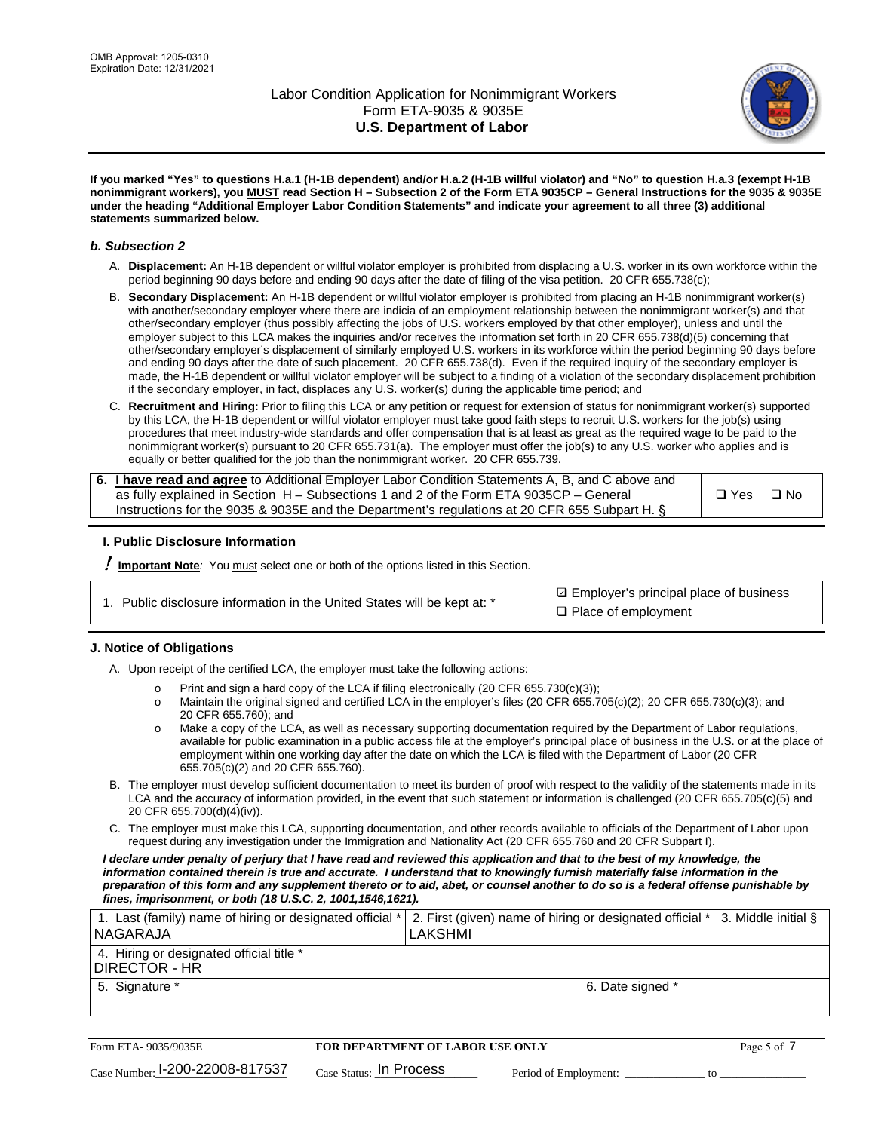

**If you marked "Yes" to questions H.a.1 (H-1B dependent) and/or H.a.2 (H-1B willful violator) and "No" to question H.a.3 (exempt H-1B nonimmigrant workers), you MUST read Section H – Subsection 2 of the Form ETA 9035CP – General Instructions for the 9035 & 9035E under the heading "Additional Employer Labor Condition Statements" and indicate your agreement to all three (3) additional statements summarized below.**

### *b. Subsection 2*

- A. **Displacement:** An H-1B dependent or willful violator employer is prohibited from displacing a U.S. worker in its own workforce within the period beginning 90 days before and ending 90 days after the date of filing of the visa petition. 20 CFR 655.738(c);
- B. **Secondary Displacement:** An H-1B dependent or willful violator employer is prohibited from placing an H-1B nonimmigrant worker(s) with another/secondary employer where there are indicia of an employment relationship between the nonimmigrant worker(s) and that other/secondary employer (thus possibly affecting the jobs of U.S. workers employed by that other employer), unless and until the employer subject to this LCA makes the inquiries and/or receives the information set forth in 20 CFR 655.738(d)(5) concerning that other/secondary employer's displacement of similarly employed U.S. workers in its workforce within the period beginning 90 days before and ending 90 days after the date of such placement. 20 CFR 655.738(d). Even if the required inquiry of the secondary employer is made, the H-1B dependent or willful violator employer will be subject to a finding of a violation of the secondary displacement prohibition if the secondary employer, in fact, displaces any U.S. worker(s) during the applicable time period; and
- C. **Recruitment and Hiring:** Prior to filing this LCA or any petition or request for extension of status for nonimmigrant worker(s) supported by this LCA, the H-1B dependent or willful violator employer must take good faith steps to recruit U.S. workers for the job(s) using procedures that meet industry-wide standards and offer compensation that is at least as great as the required wage to be paid to the nonimmigrant worker(s) pursuant to 20 CFR 655.731(a). The employer must offer the job(s) to any U.S. worker who applies and is equally or better qualified for the job than the nonimmigrant worker. 20 CFR 655.739.

| 6. I have read and agree to Additional Employer Labor Condition Statements A, B, and C above and |       |           |
|--------------------------------------------------------------------------------------------------|-------|-----------|
| as fully explained in Section H – Subsections 1 and 2 of the Form ETA 9035CP – General           | □ Yes | $\Box$ No |
| Instructions for the 9035 & 9035E and the Department's regulations at 20 CFR 655 Subpart H. §    |       |           |

## **I. Public Disclosure Information**

! **Important Note***:* You must select one or both of the options listed in this Section.

|  | 1. Public disclosure information in the United States will be kept at: * |  |  |  |
|--|--------------------------------------------------------------------------|--|--|--|
|  |                                                                          |  |  |  |

**sqrt** Employer's principal place of business □ Place of employment

## **J. Notice of Obligations**

A. Upon receipt of the certified LCA, the employer must take the following actions:

- o Print and sign a hard copy of the LCA if filing electronically (20 CFR 655.730(c)(3));<br>
Maintain the original signed and certified LCA in the employer's files (20 CFR 655.7
- Maintain the original signed and certified LCA in the employer's files (20 CFR 655.705(c)(2); 20 CFR 655.730(c)(3); and 20 CFR 655.760); and
- o Make a copy of the LCA, as well as necessary supporting documentation required by the Department of Labor regulations, available for public examination in a public access file at the employer's principal place of business in the U.S. or at the place of employment within one working day after the date on which the LCA is filed with the Department of Labor (20 CFR 655.705(c)(2) and 20 CFR 655.760).
- B. The employer must develop sufficient documentation to meet its burden of proof with respect to the validity of the statements made in its LCA and the accuracy of information provided, in the event that such statement or information is challenged (20 CFR 655.705(c)(5) and 20 CFR 655.700(d)(4)(iv)).
- C. The employer must make this LCA, supporting documentation, and other records available to officials of the Department of Labor upon request during any investigation under the Immigration and Nationality Act (20 CFR 655.760 and 20 CFR Subpart I).

*I declare under penalty of perjury that I have read and reviewed this application and that to the best of my knowledge, the*  information contained therein is true and accurate. I understand that to knowingly furnish materially false information in the *preparation of this form and any supplement thereto or to aid, abet, or counsel another to do so is a federal offense punishable by fines, imprisonment, or both (18 U.S.C. 2, 1001,1546,1621).*

| 1. Last (family) name of hiring or designated official *   2. First (given) name of hiring or designated official *   3. Middle initial §<br> NAGARAJA | <b>LAKSHMI</b>   |  |
|--------------------------------------------------------------------------------------------------------------------------------------------------------|------------------|--|
| 4. Hiring or designated official title *<br>I DIRECTOR - HR                                                                                            |                  |  |
| 5. Signature *                                                                                                                                         | 6. Date signed * |  |

| Form ETA- 9035/9035E            | <b>FOR DEPARTMENT OF LABOR USE ONLY</b> |                       |  |
|---------------------------------|-----------------------------------------|-----------------------|--|
| Case Number: 1-200-22008-817537 | $_{\text{Case Status:}}$ In Process     | Period of Employment: |  |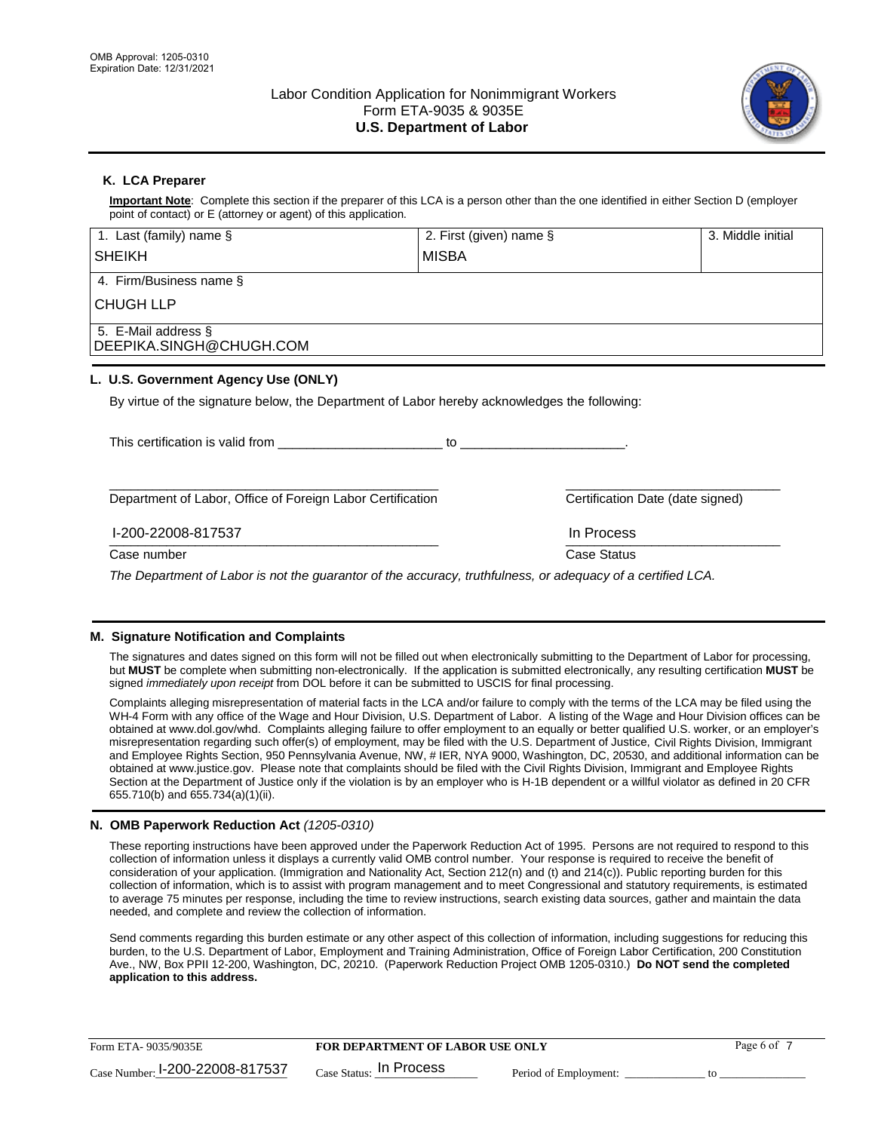

## **K. LCA Preparer**

**Important Note**: Complete this section if the preparer of this LCA is a person other than the one identified in either Section D (employer point of contact) or E (attorney or agent) of this application.

| 1. Last (family) name $\S$                                                                                                    | 2. First (given) name § |                                  | 3. Middle initial |
|-------------------------------------------------------------------------------------------------------------------------------|-------------------------|----------------------------------|-------------------|
| <b>SHEIKH</b>                                                                                                                 | <b>MISBA</b>            |                                  |                   |
| 4. Firm/Business name §                                                                                                       |                         |                                  |                   |
| <b>CHUGH LLP</b>                                                                                                              |                         |                                  |                   |
| 5. E-Mail address §<br>DEEPIKA.SINGH@CHUGH.COM                                                                                |                         |                                  |                   |
| L. U.S. Government Agency Use (ONLY)                                                                                          |                         |                                  |                   |
| By virtue of the signature below, the Department of Labor hereby acknowledges the following:                                  |                         |                                  |                   |
| This certification is valid from This certification is valid from                                                             |                         |                                  |                   |
| Department of Labor, Office of Foreign Labor Certification                                                                    |                         | Certification Date (date signed) |                   |
| I-200-22008-817537                                                                                                            |                         | In Process                       |                   |
| Case number                                                                                                                   |                         | Case Status                      |                   |
| The December of the basic contributions of the common traditional contribution of a contribution of $\epsilon$ and $\epsilon$ |                         |                                  |                   |

*The Department of Labor is not the guarantor of the accuracy, truthfulness, or adequacy of a certified LCA.*

## **M. Signature Notification and Complaints**

The signatures and dates signed on this form will not be filled out when electronically submitting to the Department of Labor for processing, but **MUST** be complete when submitting non-electronically. If the application is submitted electronically, any resulting certification **MUST** be signed *immediately upon receipt* from DOL before it can be submitted to USCIS for final processing.

Complaints alleging misrepresentation of material facts in the LCA and/or failure to comply with the terms of the LCA may be filed using the WH-4 Form with any office of the Wage and Hour Division, U.S. Department of Labor. A listing of the Wage and Hour Division offices can be obtained at www.dol.gov/whd. Complaints alleging failure to offer employment to an equally or better qualified U.S. worker, or an employer's misrepresentation regarding such offer(s) of employment, may be filed with the U.S. Department of Justice, Civil Rights Division, Immigrant and Employee Rights Section, 950 Pennsylvania Avenue, NW, # IER, NYA 9000, Washington, DC, 20530, and additional information can be obtained at www.justice.gov. Please note that complaints should be filed with the Civil Rights Division, Immigrant and Employee Rights Section at the Department of Justice only if the violation is by an employer who is H-1B dependent or a willful violator as defined in 20 CFR 655.710(b) and 655.734(a)(1)(ii).

## **N. OMB Paperwork Reduction Act** *(1205-0310)*

These reporting instructions have been approved under the Paperwork Reduction Act of 1995. Persons are not required to respond to this collection of information unless it displays a currently valid OMB control number. Your response is required to receive the benefit of consideration of your application. (Immigration and Nationality Act, Section 212(n) and (t) and 214(c)). Public reporting burden for this collection of information, which is to assist with program management and to meet Congressional and statutory requirements, is estimated to average 75 minutes per response, including the time to review instructions, search existing data sources, gather and maintain the data needed, and complete and review the collection of information.

Send comments regarding this burden estimate or any other aspect of this collection of information, including suggestions for reducing this burden, to the U.S. Department of Labor, Employment and Training Administration, Office of Foreign Labor Certification, 200 Constitution Ave., NW, Box PPII 12-200, Washington, DC, 20210. (Paperwork Reduction Project OMB 1205-0310.) **Do NOT send the completed application to this address.**

| Form ETA-9035/9035E             | <b>FOR DEPARTMENT OF LABOR USE ONLY</b> |                       | Page 6 of |
|---------------------------------|-----------------------------------------|-----------------------|-----------|
| Case Number: 1-200-22008-817537 | $_{Case\; Status:}$ In Process          | Period of Employment: |           |